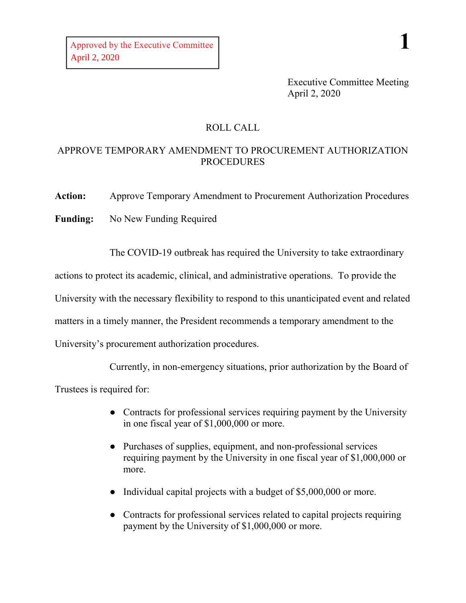Executive Committee Meeting April 2, 2020

## ROLL CALL

## APPROVE TEMPORARY AMENDMENT TO PROCUREMENT AUTHORIZATION PROCEDURES

**Action:** Approve Temporary Amendment to Procurement Authorization Procedures

**Funding:** No New Funding Required

The COVID-19 outbreak has required the University to take extraordinary

actions to protect its academic, clinical, and administrative operations. To provide the

University with the necessary flexibility to respond to this unanticipated event and related

matters in a timely manner, the President recommends a temporary amendment to the

University's procurement authorization procedures.

Currently, in non-emergency situations, prior authorization by the Board of

Trustees is required for:

- Contracts for professional services requiring payment by the University in one fiscal year of \$1,000,000 or more.
- Purchases of supplies, equipment, and non-professional services requiring payment by the University in one fiscal year of \$1,000,000 or more.
- Individual capital projects with a budget of \$5,000,000 or more.
- Contracts for professional services related to capital projects requiring payment by the University of \$1,000,000 or more.